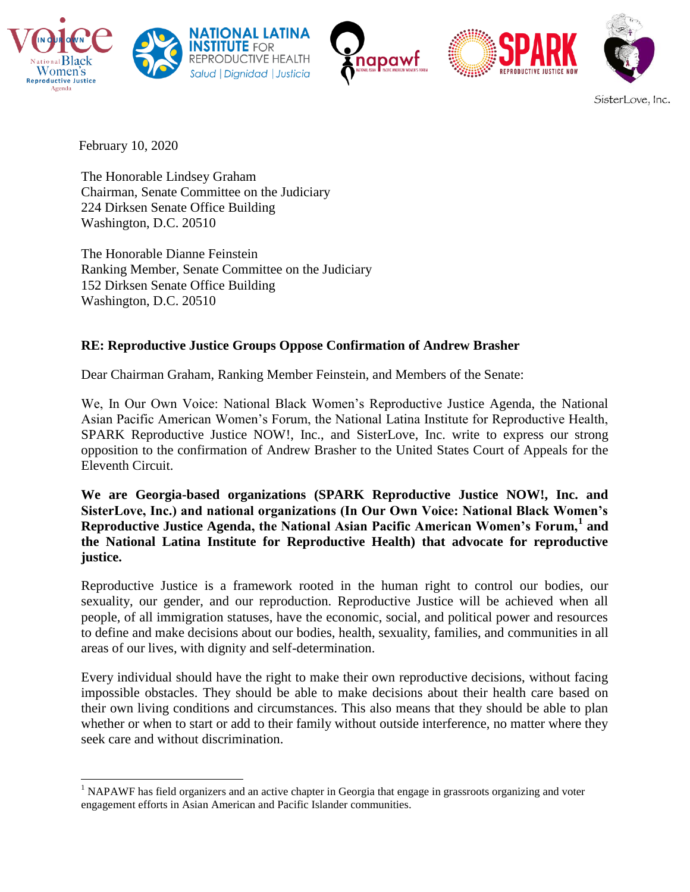







SisterLove, Inc.

February 10, 2020

The Honorable Lindsey Graham Chairman, Senate Committee on the Judiciary 224 Dirksen Senate Office Building Washington, D.C. 20510

The Honorable Dianne Feinstein Ranking Member, Senate Committee on the Judiciary 152 Dirksen Senate Office Building Washington, D.C. 20510

# **RE: Reproductive Justice Groups Oppose Confirmation of Andrew Brasher**

Dear Chairman Graham, Ranking Member Feinstein, and Members of the Senate:

We, In Our Own Voice: National Black Women's Reproductive Justice Agenda, the National Asian Pacific American Women's Forum, the National Latina Institute for Reproductive Health, SPARK Reproductive Justice NOW!, Inc., and SisterLove, Inc. write to express our strong opposition to the confirmation of Andrew Brasher to the United States Court of Appeals for the Eleventh Circuit.

**We are Georgia-based organizations (SPARK Reproductive Justice NOW!, Inc. and SisterLove, Inc.) and national organizations (In Our Own Voice: National Black Women's Reproductive Justice Agenda, the National Asian Pacific American Women's Forum,<sup>1</sup> and the National Latina Institute for Reproductive Health) that advocate for reproductive justice.**

Reproductive Justice is a framework rooted in the human right to control our bodies, our sexuality, our gender, and our reproduction. Reproductive Justice will be achieved when all people, of all immigration statuses, have the economic, social, and political power and resources to define and make decisions about our bodies, health, sexuality, families, and communities in all areas of our lives, with dignity and self-determination.

Every individual should have the right to make their own reproductive decisions, without facing impossible obstacles. They should be able to make decisions about their health care based on their own living conditions and circumstances. This also means that they should be able to plan whether or when to start or add to their family without outside interference, no matter where they seek care and without discrimination.

<sup>&</sup>lt;sup>1</sup> NAPAWF has field organizers and an active chapter in Georgia that engage in grassroots organizing and voter engagement efforts in Asian American and Pacific Islander communities.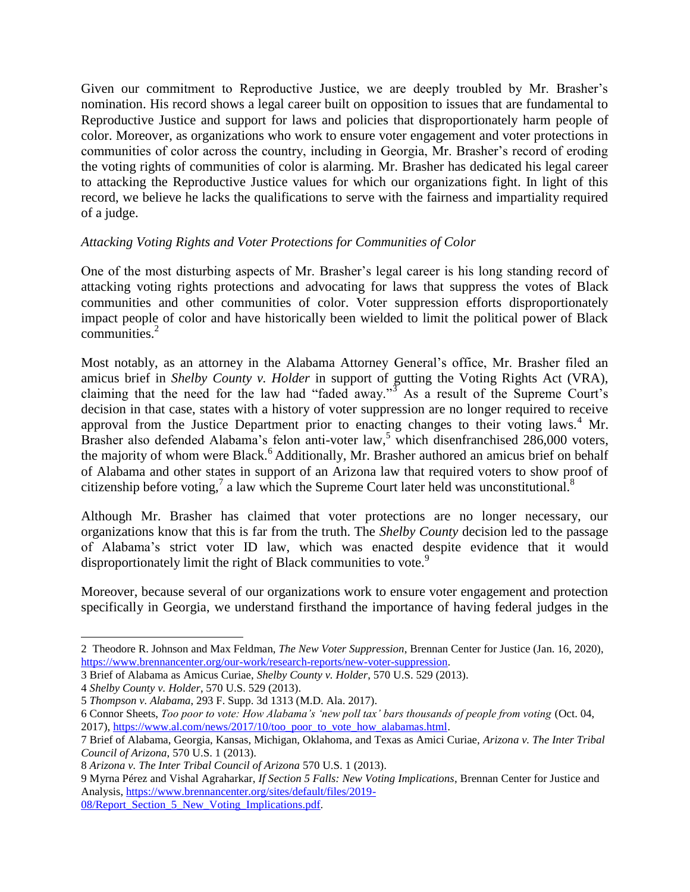Given our commitment to Reproductive Justice, we are deeply troubled by Mr. Brasher's nomination. His record shows a legal career built on opposition to issues that are fundamental to Reproductive Justice and support for laws and policies that disproportionately harm people of color. Moreover, as organizations who work to ensure voter engagement and voter protections in communities of color across the country, including in Georgia, Mr. Brasher's record of eroding the voting rights of communities of color is alarming. Mr. Brasher has dedicated his legal career to attacking the Reproductive Justice values for which our organizations fight. In light of this record, we believe he lacks the qualifications to serve with the fairness and impartiality required of a judge.

## *Attacking Voting Rights and Voter Protections for Communities of Color*

One of the most disturbing aspects of Mr. Brasher's legal career is his long standing record of attacking voting rights protections and advocating for laws that suppress the votes of Black communities and other communities of color. Voter suppression efforts disproportionately impact people of color and have historically been wielded to limit the political power of Black communities.<sup>2</sup>

Most notably, as an attorney in the Alabama Attorney General's office, Mr. Brasher filed an amicus brief in *Shelby County v. Holder* in support of gutting the Voting Rights Act (VRA), claiming that the need for the law had "faded away."<sup>3</sup> As a result of the Supreme Court's decision in that case, states with a history of voter suppression are no longer required to receive approval from the Justice Department prior to enacting changes to their voting laws.<sup>4</sup> Mr. Brasher also defended Alabama's felon anti-voter law,<sup>5</sup> which disenfranchised 286,000 voters, the majority of whom were Black.<sup>6</sup> Additionally, Mr. Brasher authored an amicus brief on behalf of Alabama and other states in support of an Arizona law that required voters to show proof of citizenship before voting,<sup>7</sup> a law which the Supreme Court later held was unconstitutional.<sup>8</sup>

Although Mr. Brasher has claimed that voter protections are no longer necessary, our organizations know that this is far from the truth. The *Shelby County* decision led to the passage of Alabama's strict voter ID law, which was enacted despite evidence that it would disproportionately limit the right of Black communities to vote.<sup>9</sup>

Moreover, because several of our organizations work to ensure voter engagement and protection specifically in Georgia, we understand firsthand the importance of having federal judges in the

6 Connor Sheets, *Too poor to vote: How Alabama's 'new poll tax' bars thousands of people from voting* (Oct. 04, 2017), [https://www.al.com/news/2017/10/too\\_poor\\_to\\_vote\\_how\\_alabamas.html.](https://www.al.com/news/2017/10/too_poor_to_vote_how_alabamas.html)

<sup>2</sup> Theodore R. Johnson and Max Feldman, *The New Voter Suppression*, Brennan Center for Justice (Jan. 16, 2020)[,](https://www.brennancenter.org/our-work/research-reports/new-voter-suppression) [https://www.brennancenter.org/our-work/research-reports/new-voter-suppression.](https://www.brennancenter.org/our-work/research-reports/new-voter-suppression)

<sup>3</sup> Brief of Alabama as Amicus Curiae, *Shelby County v. Holder*, 570 U.S. 529 (2013).

<sup>4</sup> *Shelby County v. Holder*, 570 U.S. 529 (2013).

<sup>5</sup> *Thompson v. Alabama*, 293 F. Supp. 3d 1313 (M.D. Ala. 2017).

<sup>7</sup> Brief of Alabama, Georgia, Kansas, Michigan, Oklahoma, and Texas as Amici Curiae, *Arizona v. The Inter Tribal Council of Arizona*, 570 U.S. 1 (2013).

<sup>8</sup> *Arizona v. The Inter Tribal Council of Arizona* 570 U.S. 1 (2013).

<sup>9</sup> Myrna Pérez and Vishal Agraharkar, *If Section 5 Falls: New Voting Implications*, Brennan Center for Justice and Analysis[,](https://www.brennancenter.org/sites/default/files/2019-08/Report_Section_5_New_Voting_Implications.pdf) [https://www.brennancenter.org/sites/default/files/2019-](https://www.brennancenter.org/sites/default/files/2019-08/Report_Section_5_New_Voting_Implications.pdf) 08/Report Section 5 New Voting Implications.pdf.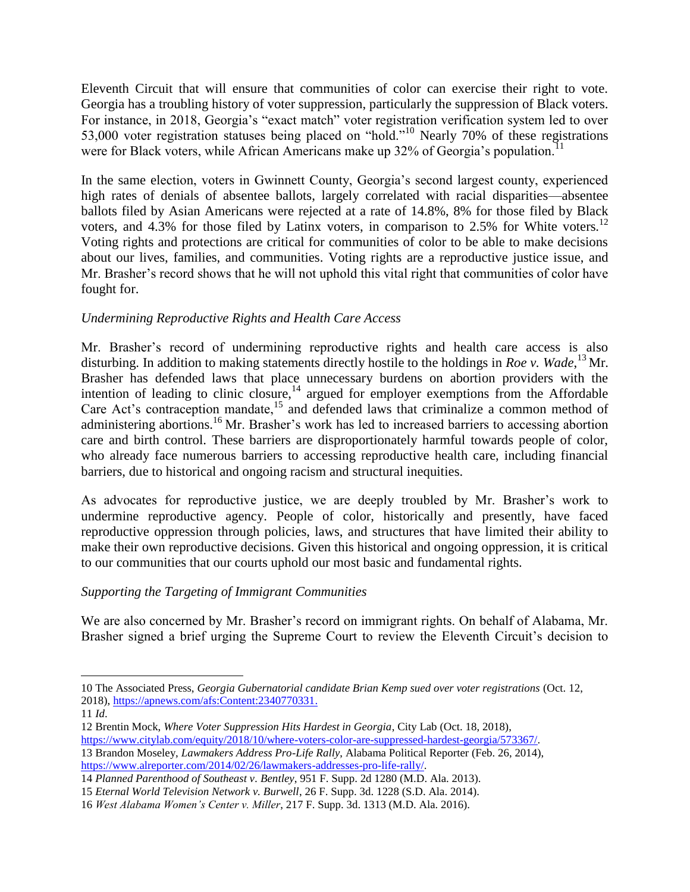Eleventh Circuit that will ensure that communities of color can exercise their right to vote. Georgia has a troubling history of voter suppression, particularly the suppression of Black voters. For instance, in 2018, Georgia's "exact match" voter registration verification system led to over 53,000 voter registration statuses being placed on "hold."<sup>10</sup> Nearly 70% of these registrations were for Black voters, while African Americans make up  $32\%$  of Georgia's population.<sup>11</sup>

In the same election, voters in Gwinnett County, Georgia's second largest county, experienced high rates of denials of absentee ballots, largely correlated with racial disparities—absentee ballots filed by Asian Americans were rejected at a rate of 14.8%, 8% for those filed by Black voters, and 4.3% for those filed by Latinx voters, in comparison to 2.5% for White voters.<sup>12</sup> Voting rights and protections are critical for communities of color to be able to make decisions about our lives, families, and communities. Voting rights are a reproductive justice issue, and Mr. Brasher's record shows that he will not uphold this vital right that communities of color have fought for.

## *Undermining Reproductive Rights and Health Care Access*

Mr. Brasher's record of undermining reproductive rights and health care access is also disturbing. In addition to making statements directly hostile to the holdings in *Roe v. Wade*, <sup>13</sup> Mr. Brasher has defended laws that place unnecessary burdens on abortion providers with the intention of leading to clinic closure,  $^{14}$  argued for employer exemptions from the Affordable Care Act's contraception mandate,<sup>15</sup> and defended laws that criminalize a common method of administering abortions.<sup>16</sup> Mr. Brasher's work has led to increased barriers to accessing abortion care and birth control. These barriers are disproportionately harmful towards people of color, who already face numerous barriers to accessing reproductive health care, including financial barriers, due to historical and ongoing racism and structural inequities.

As advocates for reproductive justice, we are deeply troubled by Mr. Brasher's work to undermine reproductive agency. People of color, historically and presently, have faced reproductive oppression through policies, laws, and structures that have limited their ability to make their own reproductive decisions. Given this historical and ongoing oppression, it is critical to our communities that our courts uphold our most basic and fundamental rights.

## *Supporting the Targeting of Immigrant Communities*

We are also concerned by Mr. Brasher's record on immigrant rights. On behalf of Alabama, Mr. Brasher signed a brief urging the Supreme Court to review the Eleventh Circuit's decision to

<sup>10</sup> The Associated Press, *Georgia Gubernatorial candidate Brian Kemp sued over voter registrations* (Oct. 12, 2018), [https://apnews.com/afs:Content:2340770331.](https://apnews.com/afs:Content:2340770331)

<sup>11</sup> *Id*.

<sup>12</sup> Brentin Mock, *Where Voter Suppression Hits Hardest in Georgia*, City Lab (Oct. 18, 2018)[,](https://www.citylab.com/equity/2018/10/where-voters-color-are-suppressed-hardest-georgia/573367/) [https://www.citylab.com/equity/2018/10/where-voters-color-are-suppressed-hardest-georgia/573367/.](https://www.citylab.com/equity/2018/10/where-voters-color-are-suppressed-hardest-georgia/573367/)

<sup>13</sup> Brandon Moseley, *Lawmakers Address Pro-Life Rally*, Alabama Political Reporter (Feb. 26, 2014), [https://www.alreporter.com/2014/02/26/lawmakers-addresses-pro-life-rally/.](https://www.alreporter.com/2014/02/26/lawmakers-addresses-pro-life-rally/)

<sup>14</sup> *Planned Parenthood of Southeast v. Bentley*, 951 F. Supp. 2d 1280 (M.D. Ala. 2013).

<sup>15</sup> *Eternal World Television Network v. Burwell*, 26 F. Supp. 3d. 1228 (S.D. Ala. 2014).

<sup>16</sup> *West Alabama Women's Center v. Miller*, 217 F. Supp. 3d. 1313 (M.D. Ala. 2016).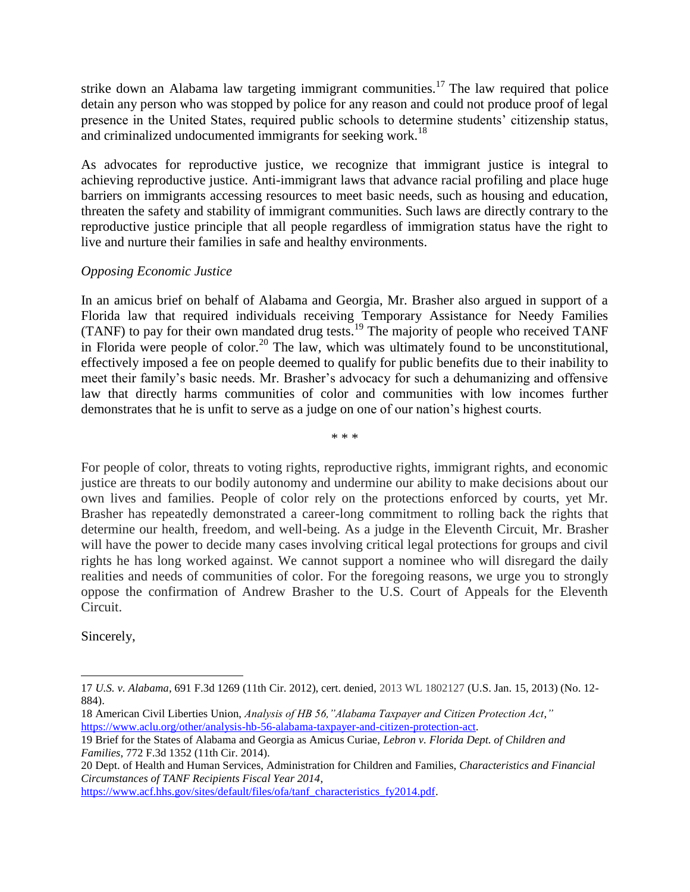strike down an Alabama law targeting immigrant communities.<sup>17</sup> The law required that police detain any person who was stopped by police for any reason and could not produce proof of legal presence in the United States, required public schools to determine students' citizenship status, and criminalized undocumented immigrants for seeking work.<sup>18</sup>

As advocates for reproductive justice, we recognize that immigrant justice is integral to achieving reproductive justice. Anti-immigrant laws that advance racial profiling and place huge barriers on immigrants accessing resources to meet basic needs, such as housing and education, threaten the safety and stability of immigrant communities. Such laws are directly contrary to the reproductive justice principle that all people regardless of immigration status have the right to live and nurture their families in safe and healthy environments.

### *Opposing Economic Justice*

In an amicus brief on behalf of Alabama and Georgia, Mr. Brasher also argued in support of a Florida law that required individuals receiving Temporary Assistance for Needy Families (TANF) to pay for their own mandated drug tests.<sup>19</sup> The majority of people who received TANF in Florida were people of color.<sup>20</sup> The law, which was ultimately found to be unconstitutional, effectively imposed a fee on people deemed to qualify for public benefits due to their inability to meet their family's basic needs. Mr. Brasher's advocacy for such a dehumanizing and offensive law that directly harms communities of color and communities with low incomes further demonstrates that he is unfit to serve as a judge on one of our nation's highest courts.

\* \* \*

For people of color, threats to voting rights, reproductive rights, immigrant rights, and economic justice are threats to our bodily autonomy and undermine our ability to make decisions about our own lives and families. People of color rely on the protections enforced by courts, yet Mr. Brasher has repeatedly demonstrated a career-long commitment to rolling back the rights that determine our health, freedom, and well-being. As a judge in the Eleventh Circuit, Mr. Brasher will have the power to decide many cases involving critical legal protections for groups and civil rights he has long worked against. We cannot support a nominee who will disregard the daily realities and needs of communities of color. For the foregoing reasons, we urge you to strongly oppose the confirmation of Andrew Brasher to the U.S. Court of Appeals for the Eleventh Circuit.

Sincerely,

18 American Civil Liberties Union, *Analysis of HB 56,"Alabama Taxpayer and Citizen Protection Act*,*["](https://www.aclu.org/other/analysis-hb-56-alabama-taxpayer-and-citizen-protection-act)* [https://www.aclu.org/other/analysis-hb-56-alabama-taxpayer-and-citizen-protection-act.](https://www.aclu.org/other/analysis-hb-56-alabama-taxpayer-and-citizen-protection-act)

[https://www.acf.hhs.gov/sites/default/files/ofa/tanf\\_characteristics\\_fy2014.pdf.](https://www.acf.hhs.gov/sites/default/files/ofa/tanf_characteristics_fy2014.pdf)

<sup>17</sup> *U.S. v. Alabama*, 691 F.3d 1269 (11th Cir. 2012), cert. denied, 2013 WL 1802127 (U.S. Jan. 15, 2013) (No. 12- 884).

<sup>19</sup> Brief for the States of Alabama and Georgia as Amicus Curiae, *Lebron v. Florida Dept. of Children and Families*, 772 F.3d 1352 (11th Cir. 2014).

<sup>20</sup> Dept. of Health and Human Services, Administration for Children and Families, *Characteristics and Financial Circumstances of TANF Recipients Fiscal Year 2014*[,](https://www.acf.hhs.gov/sites/default/files/ofa/tanf_characteristics_fy2014.pdf)